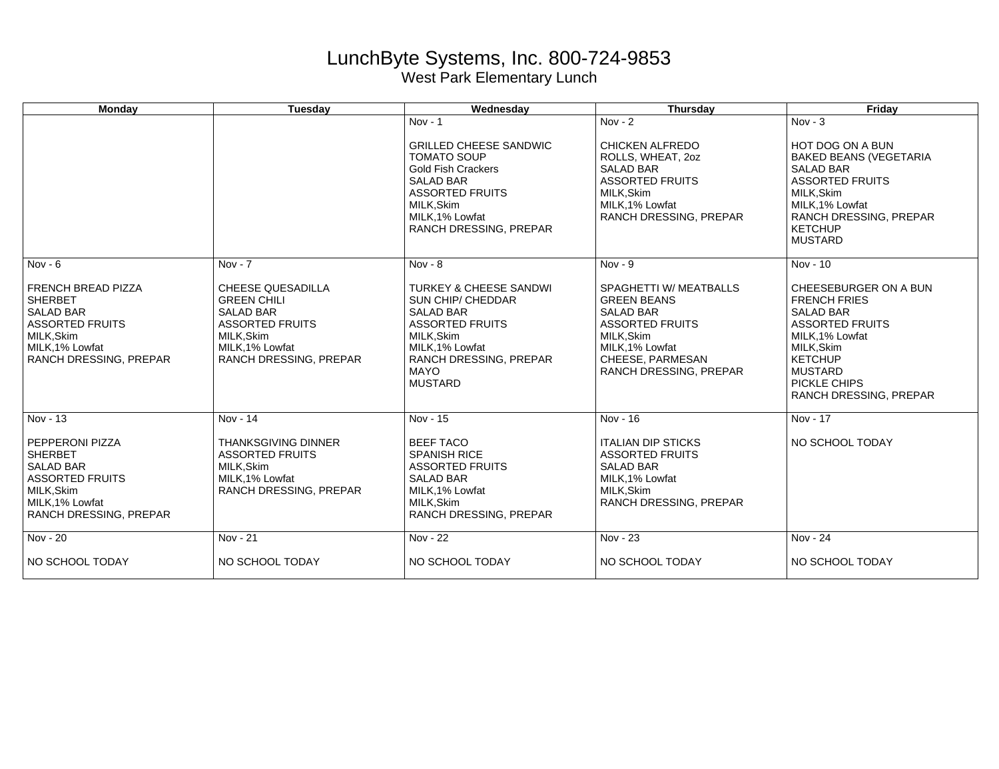## LunchByte Systems, Inc. 800-724-9853 West Park Elementary Lunch

| <b>Monday</b>                                                                                                                                                       | <b>Tuesday</b>                                                                                                                                                       | Wednesday                                                                                                                                                                                                 | <b>Thursday</b>                                                                                                                                                                               | Friday                                                                                                                                                                                                               |
|---------------------------------------------------------------------------------------------------------------------------------------------------------------------|----------------------------------------------------------------------------------------------------------------------------------------------------------------------|-----------------------------------------------------------------------------------------------------------------------------------------------------------------------------------------------------------|-----------------------------------------------------------------------------------------------------------------------------------------------------------------------------------------------|----------------------------------------------------------------------------------------------------------------------------------------------------------------------------------------------------------------------|
|                                                                                                                                                                     |                                                                                                                                                                      | $Nov - 1$<br><b>GRILLED CHEESE SANDWIC</b><br><b>TOMATO SOUP</b><br><b>Gold Fish Crackers</b><br><b>SALAD BAR</b><br><b>ASSORTED FRUITS</b><br>MILK.Skim<br>MILK, 1% Lowfat<br>RANCH DRESSING, PREPAR     | Nov - $2$<br><b>CHICKEN ALFREDO</b><br>ROLLS, WHEAT, 20Z<br><b>SALAD BAR</b><br><b>ASSORTED FRUITS</b><br>MILK.Skim<br>MILK.1% Lowfat<br>RANCH DRESSING, PREPAR                               | $Nov - 3$<br>HOT DOG ON A BUN<br><b>BAKED BEANS (VEGETARIA</b><br><b>SALAD BAR</b><br><b>ASSORTED FRUITS</b><br>MILK.Skim<br>MILK.1% Lowfat<br>RANCH DRESSING, PREPAR<br><b>KETCHUP</b><br><b>MUSTARD</b>            |
| Nov - $6$<br>FRENCH BREAD PIZZA<br><b>SHERBET</b><br><b>SALAD BAR</b><br><b>ASSORTED FRUITS</b><br>MILK, Skim<br>MILK, 1% Lowfat<br><b>RANCH DRESSING, PREPAR</b>   | $Nov - 7$<br><b>CHEESE QUESADILLA</b><br><b>GREEN CHILI</b><br><b>SALAD BAR</b><br><b>ASSORTED FRUITS</b><br>MILK, Skim<br>MILK, 1% Lowfat<br>RANCH DRESSING, PREPAR | $Nov - 8$<br>TURKEY & CHEESE SANDWI<br><b>SUN CHIP/ CHEDDAR</b><br><b>SALAD BAR</b><br><b>ASSORTED FRUITS</b><br>MILK, Skim<br>MILK, 1% Lowfat<br>RANCH DRESSING, PREPAR<br><b>MAYO</b><br><b>MUSTARD</b> | $Nov - 9$<br>SPAGHETTI W/ MEATBALLS<br><b>GREEN BEANS</b><br><b>SALAD BAR</b><br><b>ASSORTED FRUITS</b><br>MILK, Skim<br>MILK, 1% Lowfat<br>CHEESE, PARMESAN<br><b>RANCH DRESSING, PREPAR</b> | Nov - 10<br>CHEESEBURGER ON A BUN<br><b>FRENCH FRIES</b><br><b>SALAD BAR</b><br><b>ASSORTED FRUITS</b><br>MILK.1% Lowfat<br>MILK, Skim<br><b>KETCHUP</b><br><b>MUSTARD</b><br>PICKLE CHIPS<br>RANCH DRESSING, PREPAR |
| Nov - 13<br><b>PEPPERONI PIZZA</b><br><b>SHERBET</b><br><b>SALAD BAR</b><br><b>ASSORTED FRUITS</b><br>MILK.Skim<br>MILK, 1% Lowfat<br><b>RANCH DRESSING, PREPAR</b> | Nov - 14<br><b>THANKSGIVING DINNER</b><br><b>ASSORTED FRUITS</b><br>MILK, Skim<br>MILK, 1% Lowfat<br>RANCH DRESSING, PREPAR                                          | Nov - 15<br><b>BEEF TACO</b><br><b>SPANISH RICE</b><br><b>ASSORTED FRUITS</b><br><b>SALAD BAR</b><br>MILK.1% Lowfat<br>MILK, Skim<br>RANCH DRESSING, PREPAR                                               | Nov - 16<br><b>ITALIAN DIP STICKS</b><br><b>ASSORTED FRUITS</b><br><b>SALAD BAR</b><br>MILK, 1% Lowfat<br>MILK.Skim<br>RANCH DRESSING, PREPAR                                                 | Nov - 17<br>NO SCHOOL TODAY                                                                                                                                                                                          |
| Nov - 20<br>NO SCHOOL TODAY                                                                                                                                         | Nov - 21<br>NO SCHOOL TODAY                                                                                                                                          | Nov - 22<br>NO SCHOOL TODAY                                                                                                                                                                               | Nov - 23<br>NO SCHOOL TODAY                                                                                                                                                                   | Nov - 24<br>NO SCHOOL TODAY                                                                                                                                                                                          |